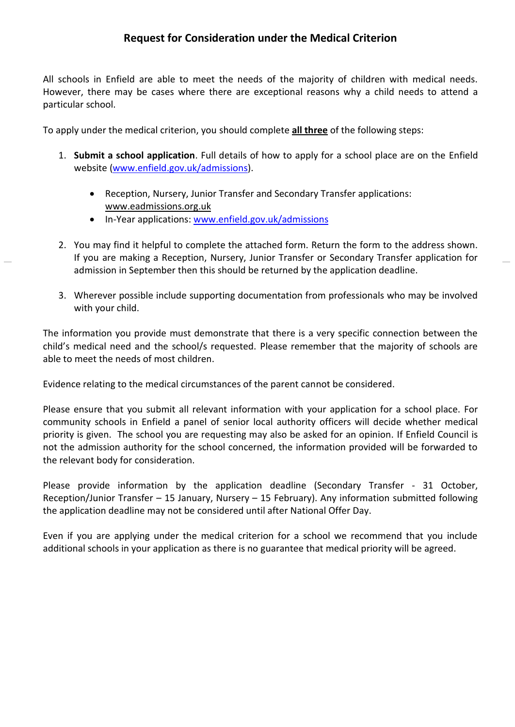All schools in Enfield are able to meet the needs of the majority of children with medical needs. However, there may be cases where there are exceptional reasons why a child needs to attend a particular school.

To apply under the medical criterion, you should complete **all three** of the following steps:

- 1. **Submit a school application**. Full details of how to apply for a school place are on the Enfield website [\(www.enfield.gov.uk/](http://www.enfield.gov.uk/)admissions).
	- Reception, Nursery, Junior Transfer and Secondary Transfer applications: [www.eadmissions.org.uk](http://www.eadmissions.org.uk/)
	- In-Year applications: [www.enfield.gov.uk/admissions](http://www.enfield.gov.uk/admissions)
- 2. You may find it helpful to complete the attached form. Return the form to the address shown. If you are making a Reception, Nursery, Junior Transfer or Secondary Transfer application for admission in September then this should be returned by the application deadline.
- 3. Wherever possible include supporting documentation from professionals who may be involved with your child.

The information you provide must demonstrate that there is a very specific connection between the child's medical need and the school/s requested. Please remember that the majority of schools are able to meet the needs of most children.

Evidence relating to the medical circumstances of the parent cannot be considered.

Please ensure that you submit all relevant information with your application for a school place. For community schools in Enfield a panel of senior local authority officers will decide whether medical priority is given. The school you are requesting may also be asked for an opinion. If Enfield Council is not the admission authority for the school concerned, the information provided will be forwarded to the relevant body for consideration.

Please provide information by the application deadline (Secondary Transfer - 31 October, Reception/Junior Transfer – 15 January, Nursery – 15 February). Any information submitted following the application deadline may not be considered until after National Offer Day.

Even if you are applying under the medical criterion for a school we recommend that you include additional schools in your application as there is no guarantee that medical priority will be agreed.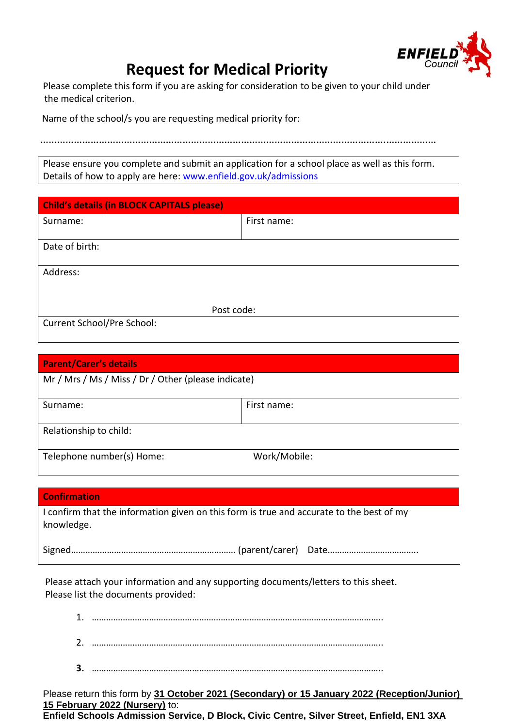

## **Request for Medical Priority**

Please complete this form if you are asking for consideration to be given to your child under the medical criterion.

Name of the school/s you are requesting medical priority for:

…………………………………………………………………………………………………………….………………

Please ensure you complete and submit an application for a school place as well as this form. Details of how to apply are here: [www.enfield.gov.uk/admissions](http://www.enfield.gov.uk/admissions)

| <b>Child's details (in BLOCK CAPITALS please)</b> |             |  |
|---------------------------------------------------|-------------|--|
| Surname:                                          | First name: |  |
|                                                   |             |  |
| Date of birth:                                    |             |  |
| Address:                                          |             |  |
| Post code:                                        |             |  |
| Current School/Pre School:                        |             |  |

| <b>Parent/Carer's details</b>                       |              |  |
|-----------------------------------------------------|--------------|--|
| Mr / Mrs / Ms / Miss / Dr / Other (please indicate) |              |  |
| Surname:                                            | First name:  |  |
|                                                     |              |  |
| Relationship to child:                              |              |  |
| Telephone number(s) Home:                           | Work/Mobile: |  |

| <b>Confirmation</b>                                                                                    |  |
|--------------------------------------------------------------------------------------------------------|--|
| I confirm that the information given on this form is true and accurate to the best of my<br>knowledge. |  |
|                                                                                                        |  |

Please attach your information and any supporting documents/letters to this sheet. Please list the documents provided:

Please return this form by **31 October 2021 (Secondary) or 15 January 2022 (Reception/Junior) 15 February 2022 (Nursery)** to:

**Enfield Schools Admission Service, D Block, Civic Centre, Silver Street, Enfield, EN1 3XA**